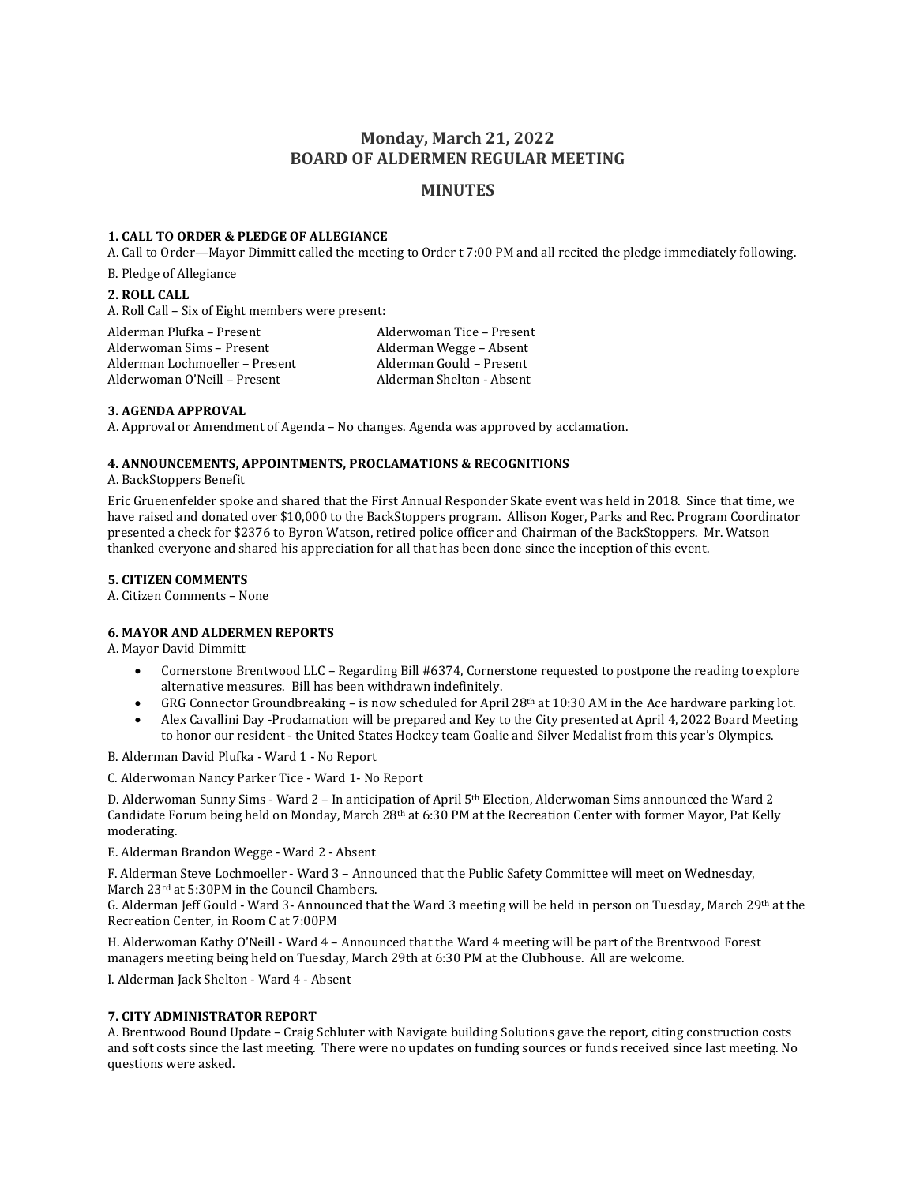# **Monday, March 21, 2022 BOARD OF ALDERMEN REGULAR MEETING**

## **MINUTES**

### **1. CALL TO ORDER & PLEDGE OF ALLEGIANCE**

A. Call to Order—Mayor Dimmitt called the meeting to Order t 7:00 PM and all recited the pledge immediately following.

B. Pledge of Allegiance

### **2. ROLL CALL**

A. Roll Call – Six of Eight members were present:

| Alderman Plufka – Present      | Alderwoman Tice – Present |
|--------------------------------|---------------------------|
| Alderwoman Sims – Present      | Alderman Wegge – Absent   |
| Alderman Lochmoeller - Present | Alderman Gould - Present  |
| Alderwoman O'Neill - Present   | Alderman Shelton - Absent |

## **3. AGENDA APPROVAL**

A. Approval or Amendment of Agenda – No changes. Agenda was approved by acclamation.

## **4. ANNOUNCEMENTS, APPOINTMENTS, PROCLAMATIONS & RECOGNITIONS**

A. BackStoppers Benefit

Eric Gruenenfelder spoke and shared that the First Annual Responder Skate event was held in 2018. Since that time, we have raised and donated over \$10,000 to the BackStoppers program. Allison Koger, Parks and Rec. Program Coordinator presented a check for \$2376 to Byron Watson, retired police officer and Chairman of the BackStoppers. Mr. Watson thanked everyone and shared his appreciation for all that has been done since the inception of this event.

### **5. CITIZEN COMMENTS**

A. Citizen Comments – None

## **6. MAYOR AND ALDERMEN REPORTS**

A. Mayor David Dimmitt

- Cornerstone Brentwood LLC Regarding Bill #6374, Cornerstone requested to postpone the reading to explore alternative measures. Bill has been withdrawn indefinitely.
- GRG Connector Groundbreaking is now scheduled for April 28<sup>th</sup> at 10:30 AM in the Ace hardware parking lot.
- Alex Cavallini Day -Proclamation will be prepared and Key to the City presented at April 4, 2022 Board Meeting to honor our resident - the United States Hockey team Goalie and Silver Medalist from this year's Olympics.

B. Alderman David Plufka - Ward 1 - No Report

C. Alderwoman Nancy Parker Tice - Ward 1- No Report

D. Alderwoman Sunny Sims - Ward 2 – In anticipation of April 5th Election, Alderwoman Sims announced the Ward 2 Candidate Forum being held on Monday, March 28th at 6:30 PM at the Recreation Center with former Mayor, Pat Kelly moderating.

#### E. Alderman Brandon Wegge - Ward 2 - Absent

F. Alderman Steve Lochmoeller - Ward 3 – Announced that the Public Safety Committee will meet on Wednesday, March 23rd at 5:30PM in the Council Chambers.

G. Alderman Jeff Gould - Ward 3- Announced that the Ward 3 meeting will be held in person on Tuesday, March 29th at the Recreation Center, in Room C at 7:00PM

H. Alderwoman Kathy O'Neill - Ward 4 – Announced that the Ward 4 meeting will be part of the Brentwood Forest managers meeting being held on Tuesday, March 29th at 6:30 PM at the Clubhouse. All are welcome.

I. Alderman Jack Shelton - Ward 4 - Absent

#### **7. CITY ADMINISTRATOR REPORT**

A. Brentwood Bound Update – Craig Schluter with Navigate building Solutions gave the report, citing construction costs and soft costs since the last meeting. There were no updates on funding sources or funds received since last meeting. No questions were asked.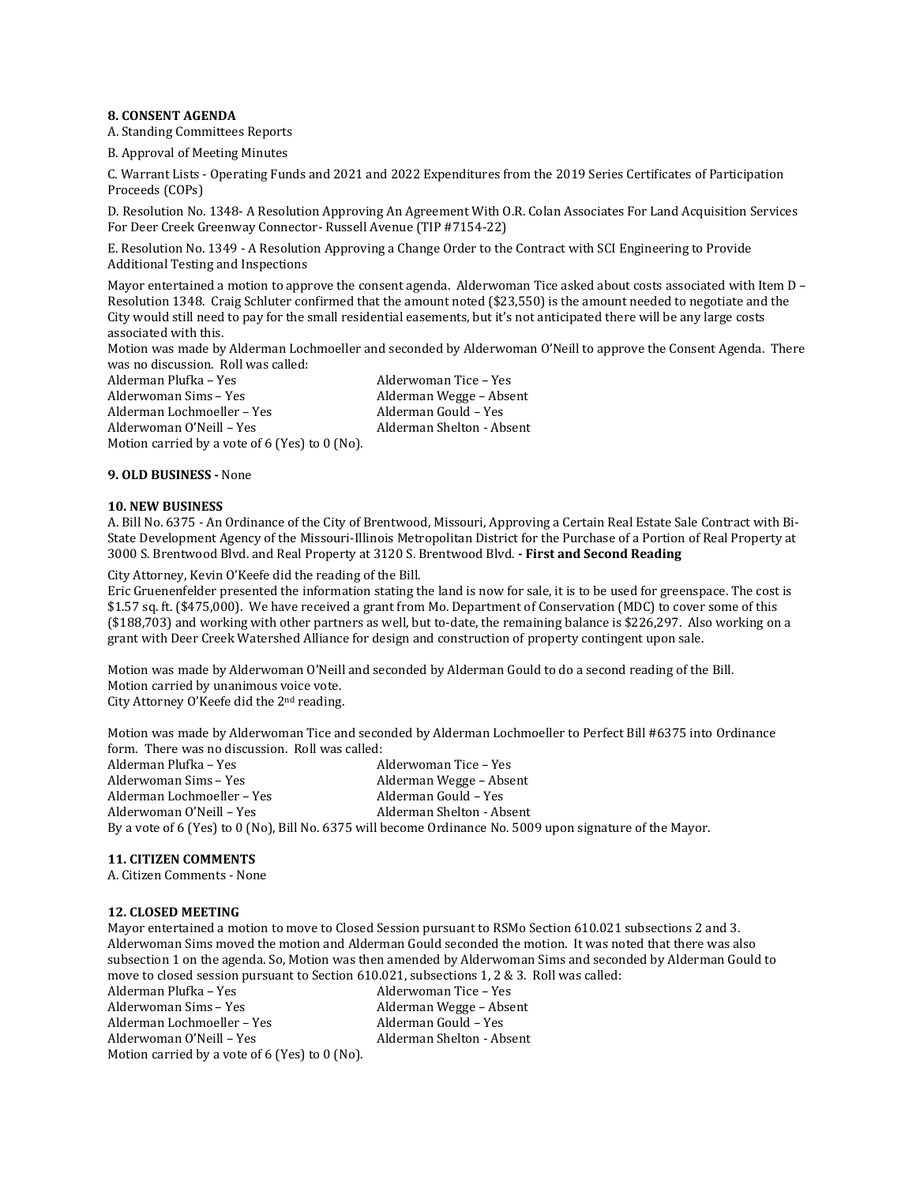#### **8. CONSENT AGENDA**

A. Standing Committees Reports

B. Approval of Meeting Minutes

C. Warrant Lists - Operating Funds and 2021 and 2022 Expenditures from the 2019 Series Certificates of Participation Proceeds (COPs)

D. Resolution No. 1348- A Resolution Approving An Agreement With O.R. Colan Associates For Land Acquisition Services For Deer Creek Greenway Connector- Russell Avenue (TIP #7154-22)

E. Resolution No. 1349 - A Resolution Approving a Change Order to the Contract with SCI Engineering to Provide Additional Testing and Inspections

Mayor entertained a motion to approve the consent agenda. Alderwoman Tice asked about costs associated with Item D – Resolution 1348. Craig Schluter confirmed that the amount noted (\$23,550) is the amount needed to negotiate and the City would still need to pay for the small residential easements, but it's not anticipated there will be any large costs associated with this.

Motion was made by Alderman Lochmoeller and seconded by Alderwoman O'Neill to approve the Consent Agenda. There was no discussion. Roll was called:

Alderman Plufka – Yes Alderwoman Tice – Yes Alderwoman Sims - Yes Alderman Wegge - Absent Alderman Lochmoeller – Yes Alderman Gould – Yes Alderwoman O'Neill - Yes Alderman Shelton - Absent Motion carried by a vote of 6 (Yes) to 0 (No).

#### **9. OLD BUSINESS -** None

#### **10. NEW BUSINESS**

A. Bill No. 6375 - An Ordinance of the City of Brentwood, Missouri, Approving a Certain Real Estate Sale Contract with Bi-State Development Agency of the Missouri-Illinois Metropolitan District for the Purchase of a Portion of Real Property at 3000 S. Brentwood Blvd. and Real Property at 3120 S. Brentwood Blvd. **- First and Second Reading**

City Attorney, Kevin O'Keefe did the reading of the Bill.

Eric Gruenenfelder presented the information stating the land is now for sale, it is to be used for greenspace. The cost is \$1.57 sq. ft. (\$475,000). We have received a grant from Mo. Department of Conservation (MDC) to cover some of this (\$188,703) and working with other partners as well, but to-date, the remaining balance is \$226,297. Also working on a grant with Deer Creek Watershed Alliance for design and construction of property contingent upon sale.

Motion was made by Alderwoman O'Neill and seconded by Alderman Gould to do a second reading of the Bill. Motion carried by unanimous voice vote. City Attorney O'Keefe did the 2nd reading.

Motion was made by Alderwoman Tice and seconded by Alderman Lochmoeller to Perfect Bill #6375 into Ordinance form. There was no discussion. Roll was called:

Alderwoman Tice – Yes Alderwoman Sims – Yes Alderman Wegge – Absent Alderman Lochmoeller – Yes Alderwoman O'Neill – Yes Alderman Shelton - Absent By a vote of 6 (Yes) to 0 (No), Bill No. 6375 will become Ordinance No. 5009 upon signature of the Mayor.

### **11. CITIZEN COMMENTS**

A. Citizen Comments - None

#### **12. CLOSED MEETING**

Mayor entertained a motion to move to Closed Session pursuant to RSMo Section 610.021 subsections 2 and 3. Alderwoman Sims moved the motion and Alderman Gould seconded the motion. It was noted that there was also subsection 1 on the agenda. So, Motion was then amended by Alderwoman Sims and seconded by Alderman Gould to move to closed session pursuant to Section 610.021, subsections 1, 2 & 3. Roll was called:

Alderman Plufka – Yes **Alderwoman Tice – Yes** Alderwoman Sims – Yes Alderman Wegge – Absent Alderman Lochmoeller – Yes Alderman Gould – Yes Alderwoman O'Neill – Yes Alderman Shelton - Absent Motion carried by a vote of 6 (Yes) to 0 (No).